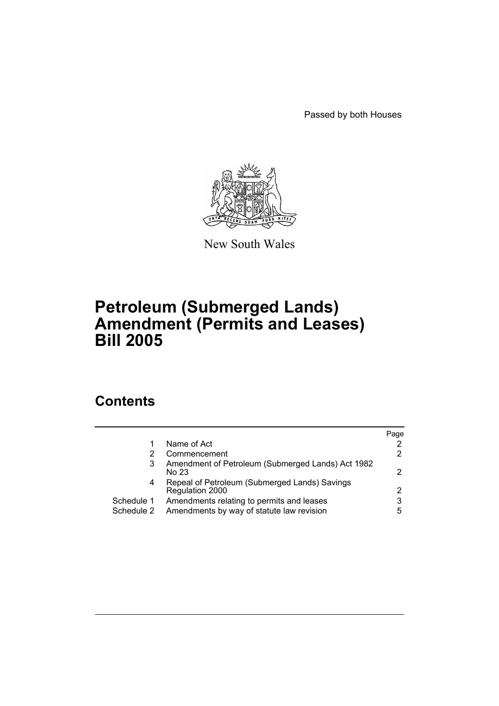Passed by both Houses



New South Wales

## **Petroleum (Submerged Lands) Amendment (Permits and Leases) Bill 2005**

## **Contents**

|            |                                                                  | Page |
|------------|------------------------------------------------------------------|------|
|            | Name of Act                                                      |      |
|            | Commencement                                                     |      |
| 3          | Amendment of Petroleum (Submerged Lands) Act 1982<br>No 23       |      |
| 4          | Repeal of Petroleum (Submerged Lands) Savings<br>Regulation 2000 |      |
| Schedule 1 | Amendments relating to permits and leases                        | 3    |
| Schedule 2 | Amendments by way of statute law revision                        | 5    |
|            |                                                                  |      |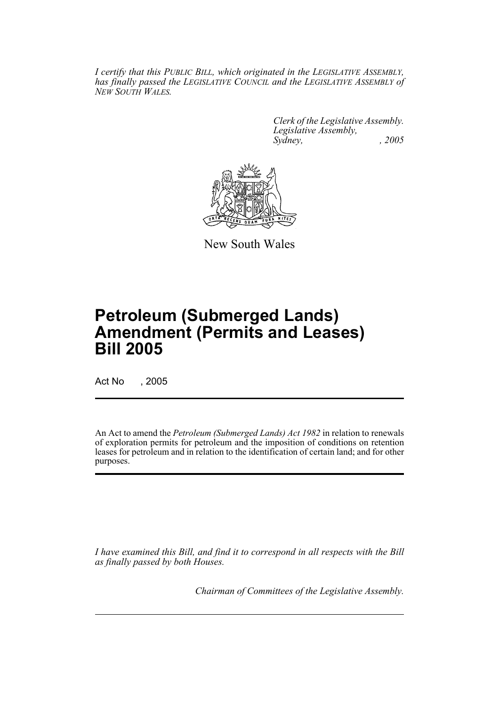*I certify that this PUBLIC BILL, which originated in the LEGISLATIVE ASSEMBLY, has finally passed the LEGISLATIVE COUNCIL and the LEGISLATIVE ASSEMBLY of NEW SOUTH WALES.*

> *Clerk of the Legislative Assembly. Legislative Assembly, Sydney, , 2005*



New South Wales

# **Petroleum (Submerged Lands) Amendment (Permits and Leases) Bill 2005**

Act No , 2005

An Act to amend the *Petroleum (Submerged Lands) Act 1982* in relation to renewals of exploration permits for petroleum and the imposition of conditions on retention leases for petroleum and in relation to the identification of certain land; and for other purposes.

*I have examined this Bill, and find it to correspond in all respects with the Bill as finally passed by both Houses.*

*Chairman of Committees of the Legislative Assembly.*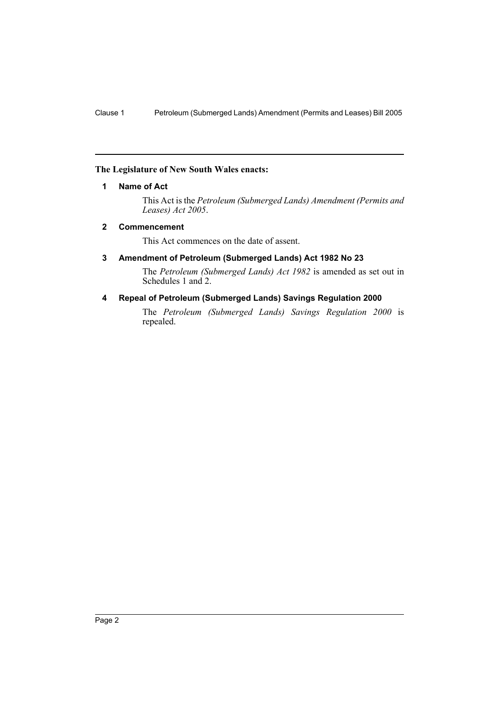#### **The Legislature of New South Wales enacts:**

#### **1 Name of Act**

This Act is the *Petroleum (Submerged Lands) Amendment (Permits and Leases) Act 2005*.

#### **2 Commencement**

This Act commences on the date of assent.

#### **3 Amendment of Petroleum (Submerged Lands) Act 1982 No 23**

The *Petroleum (Submerged Lands) Act 1982* is amended as set out in Schedules 1 and 2.

#### **4 Repeal of Petroleum (Submerged Lands) Savings Regulation 2000**

The *Petroleum (Submerged Lands) Savings Regulation 2000* is repealed.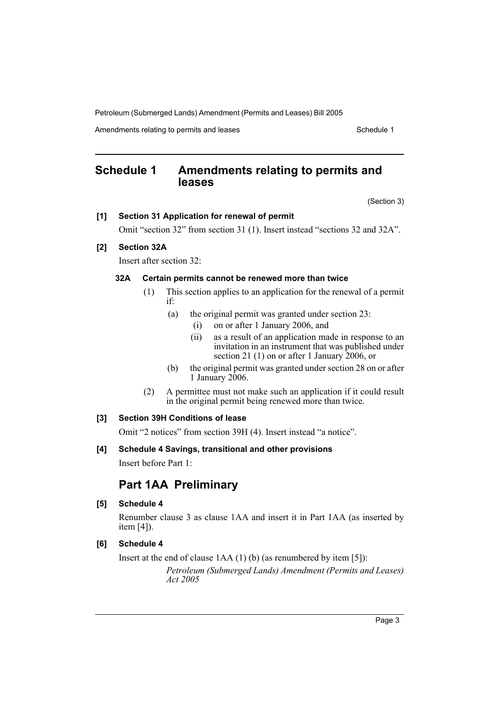Petroleum (Submerged Lands) Amendment (Permits and Leases) Bill 2005

Amendments relating to permits and leases Schedule 1

## **Schedule 1 Amendments relating to permits and leases**

(Section 3)

#### **[1] Section 31 Application for renewal of permit**

Omit "section 32" from section 31 (1). Insert instead "sections 32 and 32A".

#### **[2] Section 32A**

Insert after section 32:

#### **32A Certain permits cannot be renewed more than twice**

- (1) This section applies to an application for the renewal of a permit if:
	- (a) the original permit was granted under section 23:
		- (i) on or after 1 January 2006, and
		- (ii) as a result of an application made in response to an invitation in an instrument that was published under section 21 (1) on or after 1 January 2006, or
	- (b) the original permit was granted under section 28 on or after 1 January 2006.
- (2) A permittee must not make such an application if it could result in the original permit being renewed more than twice.

#### **[3] Section 39H Conditions of lease**

Omit "2 notices" from section 39H (4). Insert instead "a notice".

#### **[4] Schedule 4 Savings, transitional and other provisions**

Insert before Part 1:

## **Part 1AA Preliminary**

#### **[5] Schedule 4**

Renumber clause 3 as clause 1AA and insert it in Part 1AA (as inserted by item [4]).

#### **[6] Schedule 4**

Insert at the end of clause 1AA (1) (b) (as renumbered by item [5]):

*Petroleum (Submerged Lands) Amendment (Permits and Leases) Act 2005*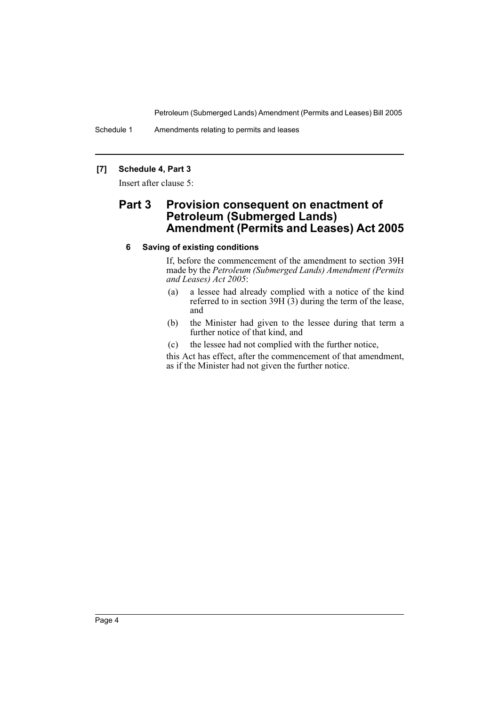Petroleum (Submerged Lands) Amendment (Permits and Leases) Bill 2005

Schedule 1 Amendments relating to permits and leases

#### **[7] Schedule 4, Part 3**

Insert after clause 5:

## **Part 3 Provision consequent on enactment of Petroleum (Submerged Lands) Amendment (Permits and Leases) Act 2005**

#### **6 Saving of existing conditions**

If, before the commencement of the amendment to section 39H made by the *Petroleum (Submerged Lands) Amendment (Permits and Leases) Act 2005*:

- (a) a lessee had already complied with a notice of the kind referred to in section  $39H(3)$  during the term of the lease, and
- (b) the Minister had given to the lessee during that term a further notice of that kind, and
- (c) the lessee had not complied with the further notice,

this Act has effect, after the commencement of that amendment, as if the Minister had not given the further notice.